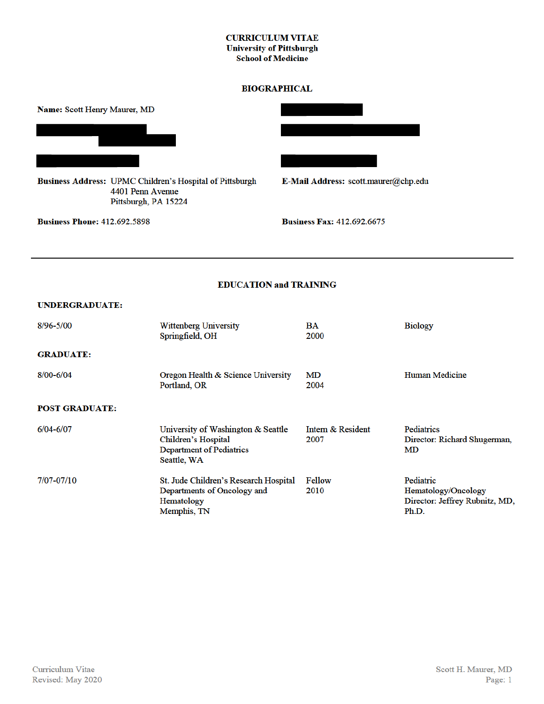### **CURRICULUM VITAE University of Pittsburgh School of Medicine**

### **BIOGRAPHICAL**



**Business Phone: 412.692.5898** 

Pittsburgh, PA 15224

**Business Fax: 412.692.6675** 

## **EDUCATION and TRAINING**

### **UNDERGRADUATE:**

| $8/96 - 5/00$         | <b>Wittenberg University</b><br>Springfield, OH                                                                    | BA<br>2000                | <b>Biology</b>                                                              |
|-----------------------|--------------------------------------------------------------------------------------------------------------------|---------------------------|-----------------------------------------------------------------------------|
| <b>GRADUATE:</b>      |                                                                                                                    |                           |                                                                             |
| $8/00 - 6/04$         | Oregon Health & Science University<br>Portland, OR                                                                 | MD<br>2004                | Human Medicine                                                              |
| <b>POST GRADUATE:</b> |                                                                                                                    |                           |                                                                             |
| $6/04 - 6/07$         | University of Washington & Seattle<br><b>Children's Hospital</b><br><b>Department of Pediatrics</b><br>Seattle, WA | Intern & Resident<br>2007 | <b>Pediatrics</b><br>Director: Richard Shugerman,<br>MD                     |
| 7/07-07/10            | St. Jude Children's Research Hospital<br>Departments of Oncology and<br>Hematology<br>Memphis, TN                  | Fellow<br>2010            | Pediatric<br>Hematology/Oncology<br>Director: Jeffrey Rubnitz, MD,<br>Ph.D. |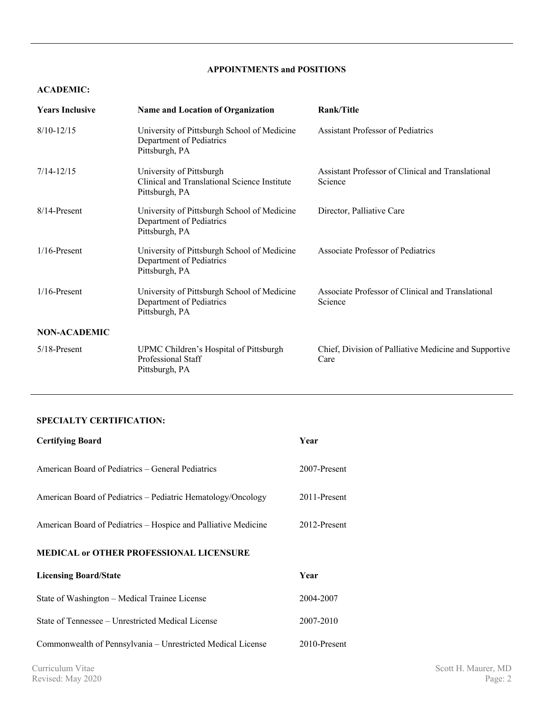# **APPOINTMENTS and POSITIONS**

### **ACADEMIC:**

| <b>Years Inclusive</b> | <b>Name and Location of Organization</b>                                                   | Rank/Title                                                    |
|------------------------|--------------------------------------------------------------------------------------------|---------------------------------------------------------------|
| $8/10 - 12/15$         | University of Pittsburgh School of Medicine<br>Department of Pediatrics<br>Pittsburgh, PA  | <b>Assistant Professor of Pediatrics</b>                      |
| $7/14 - 12/15$         | University of Pittsburgh<br>Clinical and Translational Science Institute<br>Pittsburgh, PA | Assistant Professor of Clinical and Translational<br>Science  |
| $8/14$ -Present        | University of Pittsburgh School of Medicine<br>Department of Pediatrics<br>Pittsburgh, PA  | Director, Palliative Care                                     |
| $1/16$ -Present        | University of Pittsburgh School of Medicine<br>Department of Pediatrics<br>Pittsburgh, PA  | Associate Professor of Pediatrics                             |
| $1/16$ -Present        | University of Pittsburgh School of Medicine<br>Department of Pediatrics<br>Pittsburgh, PA  | Associate Professor of Clinical and Translational<br>Science  |
| <b>NON-ACADEMIC</b>    |                                                                                            |                                                               |
| $5/18$ -Present        | UPMC Children's Hospital of Pittsburgh<br>Professional Staff<br>Pittsburgh, PA             | Chief, Division of Palliative Medicine and Supportive<br>Care |

# **SPECIALTY CERTIFICATION:**

| <b>Certifying Board</b>                                        | Year         |  |
|----------------------------------------------------------------|--------------|--|
| American Board of Pediatrics – General Pediatrics              | 2007-Present |  |
| American Board of Pediatrics – Pediatric Hematology/Oncology   | 2011-Present |  |
| American Board of Pediatrics – Hospice and Palliative Medicine | 2012-Present |  |
| <b>MEDICAL or OTHER PROFESSIONAL LICENSURE</b>                 |              |  |
| <b>Licensing Board/State</b>                                   | Year         |  |
| State of Washington – Medical Trainee License                  | 2004-2007    |  |
| State of Tennessee – Unrestricted Medical License              | 2007-2010    |  |
|                                                                |              |  |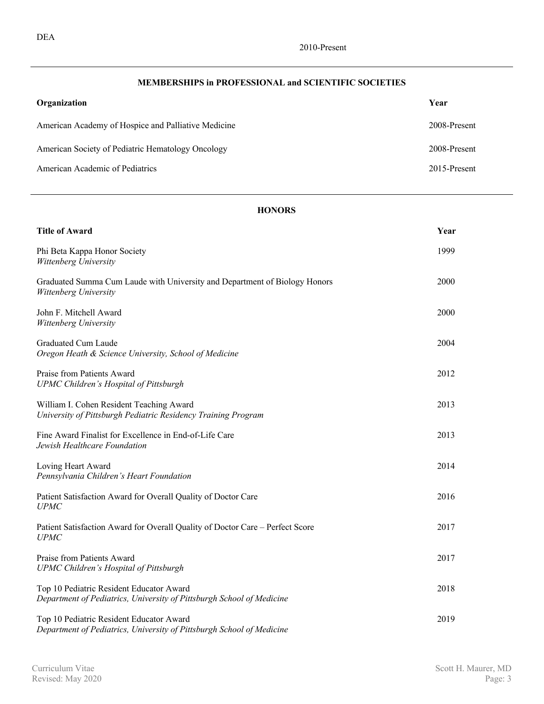# **MEMBERSHIPS in PROFESSIONAL and SCIENTIFIC SOCIETIES**

| Organization                                        | Year         |
|-----------------------------------------------------|--------------|
| American Academy of Hospice and Palliative Medicine | 2008-Present |
| American Society of Pediatric Hematology Oncology   | 2008-Present |
| American Academic of Pediatrics                     | 2015-Present |

# **HONORS**

| <b>Title of Award</b>                                                                                             | Year |
|-------------------------------------------------------------------------------------------------------------------|------|
| Phi Beta Kappa Honor Society<br>Wittenberg University                                                             | 1999 |
| Graduated Summa Cum Laude with University and Department of Biology Honors<br>Wittenberg University               | 2000 |
| John F. Mitchell Award<br>Wittenberg University                                                                   | 2000 |
| Graduated Cum Laude<br>Oregon Heath & Science University, School of Medicine                                      | 2004 |
| Praise from Patients Award<br>UPMC Children's Hospital of Pittsburgh                                              | 2012 |
| William I. Cohen Resident Teaching Award<br>University of Pittsburgh Pediatric Residency Training Program         | 2013 |
| Fine Award Finalist for Excellence in End-of-Life Care<br>Jewish Healthcare Foundation                            | 2013 |
| Loving Heart Award<br>Pennsylvania Children's Heart Foundation                                                    | 2014 |
| Patient Satisfaction Award for Overall Quality of Doctor Care<br><b>UPMC</b>                                      | 2016 |
| Patient Satisfaction Award for Overall Quality of Doctor Care – Perfect Score<br><b>UPMC</b>                      | 2017 |
| Praise from Patients Award<br>UPMC Children's Hospital of Pittsburgh                                              | 2017 |
| Top 10 Pediatric Resident Educator Award<br>Department of Pediatrics, University of Pittsburgh School of Medicine | 2018 |
| Top 10 Pediatric Resident Educator Award<br>Department of Pediatrics, University of Pittsburgh School of Medicine | 2019 |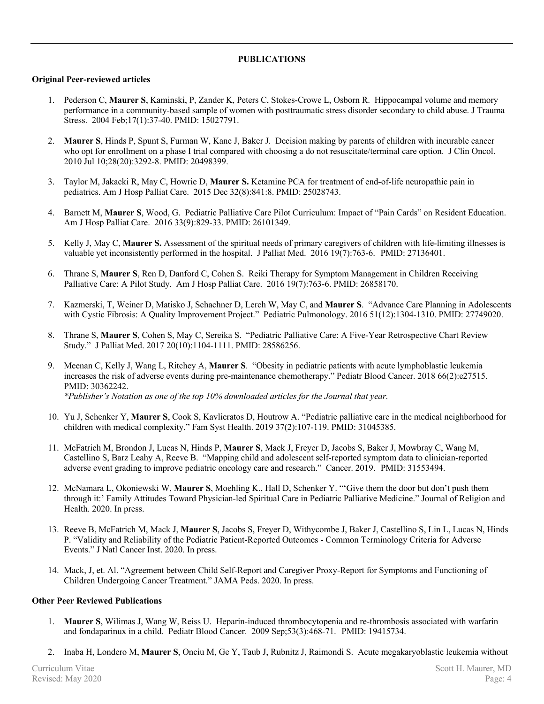# **PUBLICATIONS**

### **Original Peer-reviewed articles**

- 1. Pederson C, **Maurer S**, Kaminski, P, Zander K, Peters C, Stokes-Crowe L, Osborn R. Hippocampal volume and memory performance in a community-based sample of women with posttraumatic stress disorder secondary to child abuse. J Trauma Stress. 2004 Feb;17(1):37-40. PMID: 15027791.
- 2. **Maurer S**, Hinds P, Spunt S, Furman W, Kane J, Baker J. Decision making by parents of children with incurable cancer who opt for enrollment on a phase I trial compared with choosing a do not resuscitate/terminal care option. J Clin Oncol. 2010 Jul 10;28(20):3292-8. PMID: 20498399.
- 3. Taylor M, Jakacki R, May C, Howrie D, **Maurer S.** Ketamine PCA for treatment of end-of-life neuropathic pain in pediatrics. Am J Hosp Palliat Care. 2015 Dec 32(8):841:8. PMID: 25028743.
- 4. Barnett M, **Maurer S**, Wood, G. Pediatric Palliative Care Pilot Curriculum: Impact of "Pain Cards" on Resident Education. Am J Hosp Palliat Care. 2016 33(9):829-33. PMID: 26101349.
- 5. Kelly J, May C, **Maurer S.** Assessment of the spiritual needs of primary caregivers of children with life-limiting illnesses is valuable yet inconsistently performed in the hospital. J Palliat Med. 2016 19(7):763-6. PMID: 27136401.
- 6. Thrane S, **Maurer S**, Ren D, Danford C, Cohen S. Reiki Therapy for Symptom Management in Children Receiving Palliative Care: A Pilot Study. Am J Hosp Palliat Care. 2016 19(7):763-6. PMID: 26858170.
- 7. Kazmerski, T, Weiner D, Matisko J, Schachner D, Lerch W, May C, and **Maurer S**. "Advance Care Planning in Adolescents with Cystic Fibrosis: A Quality Improvement Project." Pediatric Pulmonology. 2016 51(12):1304-1310. PMID: 27749020.
- 8. Thrane S, **Maurer S**, Cohen S, May C, Sereika S. "Pediatric Palliative Care: A Five-Year Retrospective Chart Review Study." J Palliat Med. 2017 20(10):1104-1111. PMID: 28586256.
- 9. Meenan C, Kelly J, Wang L, Ritchey A, **Maurer S**. "Obesity in pediatric patients with acute lymphoblastic leukemia increases the risk of adverse events during pre-maintenance chemotherapy." Pediatr Blood Cancer. 2018 66(2):e27515. PMID: 30362242. *\*Publisher's Notation as one of the top 10% downloaded articles for the Journal that year.*
- 10. Yu J, Schenker Y, **Maurer S**, Cook S, Kavlieratos D, Houtrow A. "Pediatric palliative care in the medical neighborhood for children with medical complexity." Fam Syst Health. 2019 37(2):107-119. PMID: 31045385.
- 11. McFatrich M, Brondon J, Lucas N, Hinds P, **Maurer S**, Mack J, Freyer D, Jacobs S, Baker J, Mowbray C, Wang M, Castellino S, Barz Leahy A, Reeve B. "Mapping child and adolescent self-reported symptom data to clinician-reported adverse event grading to improve pediatric oncology care and research." Cancer. 2019. PMID: 31553494.
- 12. McNamara L, Okoniewski W, **Maurer S**, Moehling K., Hall D, Schenker Y. "'Give them the door but don't push them through it:' Family Attitudes Toward Physician-led Spiritual Care in Pediatric Palliative Medicine." Journal of Religion and Health. 2020. In press.
- 13. Reeve B, McFatrich M, Mack J, **Maurer S**, Jacobs S, Freyer D, Withycombe J, Baker J, Castellino S, Lin L, Lucas N, Hinds P. "Validity and Reliability of the Pediatric Patient-Reported Outcomes - Common Terminology Criteria for Adverse Events." J Natl Cancer Inst. 2020. In press.
- 14. Mack, J, et. Al. "Agreement between Child Self-Report and Caregiver Proxy-Report for Symptoms and Functioning of Children Undergoing Cancer Treatment." JAMA Peds. 2020. In press.

### **Other Peer Reviewed Publications**

- 1. **Maurer S**, Wilimas J, Wang W, Reiss U. Heparin-induced thrombocytopenia and re-thrombosis associated with warfarin and fondaparinux in a child. Pediatr Blood Cancer. 2009 Sep;53(3):468-71. PMID: 19415734.
- 2. Inaba H, Londero M, **Maurer S**, Onciu M, Ge Y, Taub J, Rubnitz J, Raimondi S. Acute megakaryoblastic leukemia without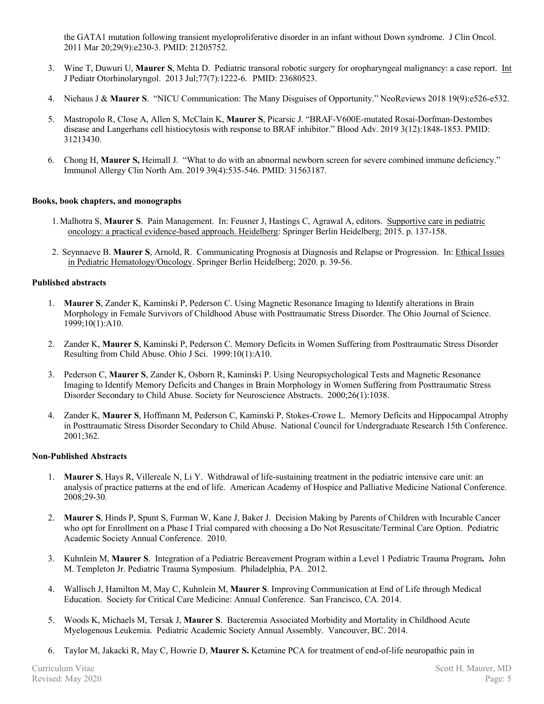the GATA1 mutation following transient myeloproliferative disorder in an infant without Down syndrome. J Clin Oncol. 2011 Mar 20;29(9):e230-3. PMID: 21205752.

- 3. Wine T, Duwuri U, **Maurer S**, Mehta D. Pediatric transoral robotic surgery for oropharyngeal malignancy: a case report. Int J Pediatr Otorhinolaryngol. 2013 Jul;77(7):1222-6. PMID: 23680523.
- 4. Niehaus J & **Maurer S**. "NICU Communication: The Many Disguises of Opportunity." NeoReviews 2018 19(9):e526-e532.
- 5. Mastropolo R, Close A, Allen S, McClain K, **Maurer S**, Picarsic J. "BRAF-V600E-mutated Rosai-Dorfman-Destombes disease and Langerhans cell histiocytosis with response to BRAF inhibitor." Blood Adv. 2019 3(12):1848-1853. PMID: 31213430.
- 6. Chong H, **Maurer S,** Heimall J. "What to do with an abnormal newborn screen for severe combined immune deficiency." Immunol Allergy Clin North Am. 2019 39(4):535-546. PMID: 31563187.

### **Books, book chapters, and monographs**

- 1.Malhotra S, **Maurer S**. Pain Management. In: Feusner J, Hastings C, Agrawal A, editors. Supportive care in pediatric oncology: a practical evidence-based approach. Heidelberg: Springer Berlin Heidelberg; 2015. p. 137-158.
- 2. Seynnaeve B. **Maurer S**, Arnold, R. Communicating Prognosis at Diagnosis and Relapse or Progression. In: Ethical Issues in Pediatric Hematology/Oncology. Springer Berlin Heidelberg; 2020. p. 39-56.

### **Published abstracts**

- 1. **Maurer S**, Zander K, Kaminski P, Pederson C. Using Magnetic Resonance Imaging to Identify alterations in Brain Morphology in Female Survivors of Childhood Abuse with Posttraumatic Stress Disorder. The Ohio Journal of Science. 1999;10(1):A10.
- 2. Zander K, **Maurer S**, Kaminski P, Pederson C. Memory Deficits in Women Suffering from Posttraumatic Stress Disorder Resulting from Child Abuse. Ohio J Sci. 1999:10(1):A10.
- 3. Pederson C, **Maurer S**, Zander K, Osborn R, Kaminski P. Using Neuropsychological Tests and Magnetic Resonance Imaging to Identify Memory Deficits and Changes in Brain Morphology in Women Suffering from Posttraumatic Stress Disorder Secondary to Child Abuse. Society for Neuroscience Abstracts. 2000;26(1):1038.
- 4. Zander K, **Maurer S**, Hoffmann M, Pederson C, Kaminski P, Stokes-Crowe L. Memory Deficits and Hippocampal Atrophy in Posttraumatic Stress Disorder Secondary to Child Abuse. National Council for Undergraduate Research 15th Conference. 2001;362.

### **Non-Published Abstracts**

- 1. **Maurer S**, Hays R, Villereale N, Li Y. Withdrawal of life-sustaining treatment in the pediatric intensive care unit: an analysis of practice patterns at the end of life. American Academy of Hospice and Palliative Medicine National Conference. 2008;29-30.
- 2. **Maurer S**, Hinds P, Spunt S, Furman W, Kane J, Baker J. Decision Making by Parents of Children with Incurable Cancer who opt for Enrollment on a Phase I Trial compared with choosing a Do Not Resuscitate/Terminal Care Option. Pediatric Academic Society Annual Conference. 2010.
- 3. Kuhnlein M, **Maurer S**. Integration of a Pediatric Bereavement Program within a Level 1 Pediatric Trauma Program**.** John M. Templeton Jr. Pediatric Trauma Symposium. Philadelphia, PA. 2012.
- 4. Wallisch J, Hamilton M, May C, Kuhnlein M, **Maurer S**. Improving Communication at End of Life through Medical Education. Society for Critical Care Medicine: Annual Conference. San Francisco, CA. 2014.
- 5. Woods K, Michaels M, Tersak J, **Maurer S**. Bacteremia Associated Morbidity and Mortality in Childhood Acute Myelogenous Leukemia. Pediatric Academic Society Annual Assembly. Vancouver, BC. 2014.
- 6. Taylor M, Jakacki R, May C, Howrie D, **Maurer S.** Ketamine PCA for treatment of end-of-life neuropathic pain in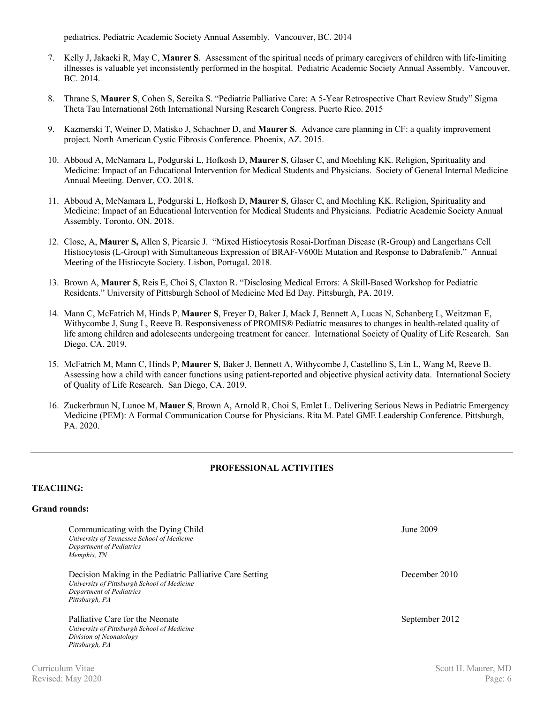pediatrics. Pediatric Academic Society Annual Assembly. Vancouver, BC. 2014

- 7. Kelly J, Jakacki R, May C, **Maurer S**. Assessment of the spiritual needs of primary caregivers of children with life-limiting illnesses is valuable yet inconsistently performed in the hospital. Pediatric Academic Society Annual Assembly. Vancouver, BC. 2014.
- 8. Thrane S, **Maurer S**, Cohen S, Sereika S. "Pediatric Palliative Care: A 5-Year Retrospective Chart Review Study" Sigma Theta Tau International 26th International Nursing Research Congress. Puerto Rico. 2015
- 9. Kazmerski T, Weiner D, Matisko J, Schachner D, and **Maurer S**. Advance care planning in CF: a quality improvement project. North American Cystic Fibrosis Conference. Phoenix, AZ. 2015.
- 10. Abboud A, McNamara L, Podgurski L, Hofkosh D, **Maurer S**, Glaser C, and Moehling KK. Religion, Spirituality and Medicine: Impact of an Educational Intervention for Medical Students and Physicians. Society of General Internal Medicine Annual Meeting. Denver, CO. 2018.
- 11. Abboud A, McNamara L, Podgurski L, Hofkosh D, **Maurer S**, Glaser C, and Moehling KK. Religion, Spirituality and Medicine: Impact of an Educational Intervention for Medical Students and Physicians. Pediatric Academic Society Annual Assembly. Toronto, ON. 2018.
- 12. Close, A, **Maurer S,** Allen S, Picarsic J. "Mixed Histiocytosis Rosai-Dorfman Disease (R-Group) and Langerhans Cell Histiocytosis (L-Group) with Simultaneous Expression of BRAF-V600E Mutation and Response to Dabrafenib." Annual Meeting of the Histiocyte Society. Lisbon, Portugal. 2018.
- 13. Brown A, **Maurer S**, Reis E, Choi S, Claxton R. "Disclosing Medical Errors: A Skill-Based Workshop for Pediatric Residents." University of Pittsburgh School of Medicine Med Ed Day. Pittsburgh, PA. 2019.
- 14. Mann C, McFatrich M, Hinds P, **Maurer S**, Freyer D, Baker J, Mack J, Bennett A, Lucas N, Schanberg L, Weitzman E, Withycombe J, Sung L, Reeve B. Responsiveness of PROMIS® Pediatric measures to changes in health-related quality of life among children and adolescents undergoing treatment for cancer. International Society of Quality of Life Research. San Diego, CA. 2019.
- 15. McFatrich M, Mann C, Hinds P, **Maurer S**, Baker J, Bennett A, Withycombe J, Castellino S, Lin L, Wang M, Reeve B. Assessing how a child with cancer functions using patient-reported and objective physical activity data. International Society of Quality of Life Research. San Diego, CA. 2019.
- 16. Zuckerbraun N, Lunoe M, **Mauer S**, Brown A, Arnold R, Choi S, Emlet L. Delivering Serious News in Pediatric Emergency Medicine (PEM): A Formal Communication Course for Physicians. Rita M. Patel GME Leadership Conference. Pittsburgh, PA. 2020.

### **PROFESSIONAL ACTIVITIES**

### **TEACHING:**

### **Grand rounds:**

| Communicating with the Dying Child<br>University of Tennessee School of Medicine<br>Department of Pediatrics<br>Memphis, TN                           | June 2009      |
|-------------------------------------------------------------------------------------------------------------------------------------------------------|----------------|
| Decision Making in the Pediatric Palliative Care Setting<br>University of Pittsburgh School of Medicine<br>Department of Pediatrics<br>Pittsburgh, PA | December 2010  |
| Palliative Care for the Neonate<br>University of Pittsburgh School of Medicine<br>Division of Neonatology<br>Pittsburgh, PA                           | September 2012 |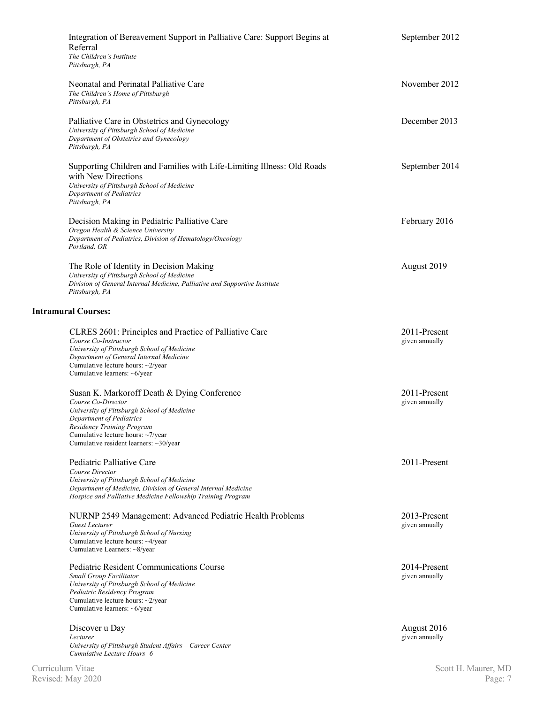| Integration of Bereavement Support in Palliative Care: Support Begins at<br>Referral<br>The Children's Institute<br>Pittsburgh, PA                                                                                                                              | September 2012                 |
|-----------------------------------------------------------------------------------------------------------------------------------------------------------------------------------------------------------------------------------------------------------------|--------------------------------|
| Neonatal and Perinatal Palliative Care<br>The Children's Home of Pittsburgh<br>Pittsburgh, PA                                                                                                                                                                   | November 2012                  |
| Palliative Care in Obstetrics and Gynecology<br>University of Pittsburgh School of Medicine<br>Department of Obstetrics and Gynecology<br>Pittsburgh, PA                                                                                                        | December 2013                  |
| Supporting Children and Families with Life-Limiting Illness: Old Roads<br>with New Directions<br>University of Pittsburgh School of Medicine<br>Department of Pediatrics<br>Pittsburgh, PA                                                                      | September 2014                 |
| Decision Making in Pediatric Palliative Care<br>Oregon Health & Science University<br>Department of Pediatrics, Division of Hematology/Oncology<br>Portland, OR                                                                                                 | February 2016                  |
| The Role of Identity in Decision Making<br>University of Pittsburgh School of Medicine<br>Division of General Internal Medicine, Palliative and Supportive Institute<br>Pittsburgh, PA                                                                          | August 2019                    |
| <b>Intramural Courses:</b>                                                                                                                                                                                                                                      |                                |
| CLRES 2601: Principles and Practice of Palliative Care<br>Course Co-Instructor<br>University of Pittsburgh School of Medicine<br>Department of General Internal Medicine<br>Cumulative lecture hours: $\sim$ 2/year<br>Cumulative learners: $\sim 6$ /year      | 2011-Present<br>given annually |
| Susan K. Markoroff Death & Dying Conference<br>Course Co-Director<br>University of Pittsburgh School of Medicine<br>Department of Pediatrics<br>Residency Training Program<br>Cumulative lecture hours: ~7/year<br>Cumulative resident learners: $\sim$ 30/year | 2011-Present<br>given annually |
| Pediatric Palliative Care<br>Course Director<br>University of Pittsburgh School of Medicine<br>Department of Medicine, Division of General Internal Medicine<br>Hospice and Palliative Medicine Fellowship Training Program                                     | 2011-Present                   |
| NURNP 2549 Management: Advanced Pediatric Health Problems<br>Guest Lecturer<br>University of Pittsburgh School of Nursing<br>Cumulative lecture hours: ~4/year<br>Cumulative Learners: ~8/year                                                                  | 2013-Present<br>given annually |
| <b>Pediatric Resident Communications Course</b><br>Small Group Facilitator<br>University of Pittsburgh School of Medicine<br>Pediatric Residency Program<br>Cumulative lecture hours: ~2/year<br>Cumulative learners: $\sim 6$ /year                            | 2014-Present<br>given annually |
| Discover u Day<br>Lecturer<br>University of Pittsburgh Student Affairs - Career Center<br>Cumulative Lecture Hours 6                                                                                                                                            | August 2016<br>given annually  |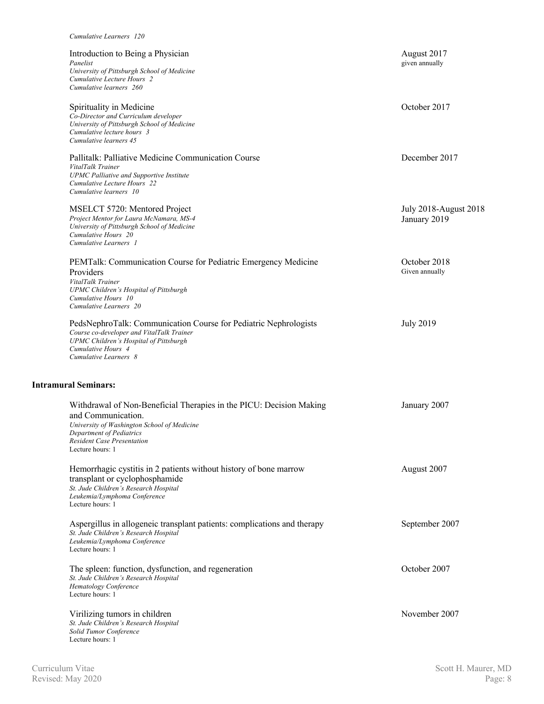| Cumulative Learners 120                                                                                                                                                                                                       |                                       |
|-------------------------------------------------------------------------------------------------------------------------------------------------------------------------------------------------------------------------------|---------------------------------------|
| Introduction to Being a Physician<br>Panelist<br>University of Pittsburgh School of Medicine<br>Cumulative Lecture Hours 2<br>Cumulative learners 260                                                                         | August 2017<br>given annually         |
| Spirituality in Medicine<br>Co-Director and Curriculum developer<br>University of Pittsburgh School of Medicine<br>Cumulative lecture hours 3<br>Cumulative learners 45                                                       | October 2017                          |
| Pallitalk: Palliative Medicine Communication Course<br>VitalTalk Trainer<br><b>UPMC Palliative and Supportive Institute</b><br>Cumulative Lecture Hours 22<br>Cumulative learners 10                                          | December 2017                         |
| MSELCT 5720: Mentored Project<br>Project Mentor for Laura McNamara, MS-4<br>University of Pittsburgh School of Medicine<br>Cumulative Hours 20<br>Cumulative Learners 1                                                       | July 2018-August 2018<br>January 2019 |
| PEMTalk: Communication Course for Pediatric Emergency Medicine<br>Providers<br>VitalTalk Trainer<br>UPMC Children's Hospital of Pittsburgh<br>Cumulative Hours 10<br>Cumulative Learners 20                                   | October 2018<br>Given annually        |
| PedsNephroTalk: Communication Course for Pediatric Nephrologists<br>Course co-developer and VitalTalk Trainer<br>UPMC Children's Hospital of Pittsburgh<br>Cumulative Hours 4<br>Cumulative Learners 8                        | <b>July 2019</b>                      |
| <b>Intramural Seminars:</b>                                                                                                                                                                                                   |                                       |
| Withdrawal of Non-Beneficial Therapies in the PICU: Decision Making<br>and Communication.<br>University of Washington School of Medicine<br>Department of Pediatrics<br><b>Resident Case Presentation</b><br>Lecture hours: 1 | January 2007                          |
| Hemorrhagic cystitis in 2 patients without history of bone marrow<br>transplant or cyclophosphamide<br>St. Jude Children's Research Hospital<br>Leukemia/Lymphoma Conference<br>Lecture hours: 1                              | August 2007                           |
| Aspergillus in allogeneic transplant patients: complications and therapy<br>St. Jude Children's Research Hospital<br>Leukemia/Lymphoma Conference<br>Lecture hours: 1                                                         | September 2007                        |
| The spleen: function, dysfunction, and regeneration<br>St. Jude Children's Research Hospital<br>Hematology Conference<br>Lecture hours: 1                                                                                     | October 2007                          |
| Virilizing tumors in children<br>St. Jude Children's Research Hospital<br>Solid Tumor Conference<br>Lecture hours: 1                                                                                                          | November 2007                         |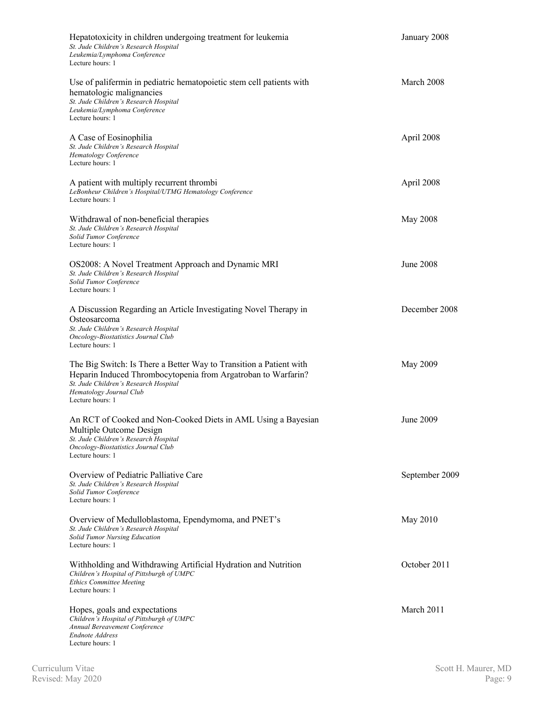| Hepatotoxicity in children undergoing treatment for leukemia<br>St. Jude Children's Research Hospital<br>Leukemia/Lymphoma Conference<br>Lecture hours: 1                                                                   | January 2008   |
|-----------------------------------------------------------------------------------------------------------------------------------------------------------------------------------------------------------------------------|----------------|
| Use of palifermin in pediatric hematopoietic stem cell patients with<br>hematologic malignancies<br>St. Jude Children's Research Hospital<br>Leukemia/Lymphoma Conference<br>Lecture hours: 1                               | March 2008     |
| A Case of Eosinophilia<br>St. Jude Children's Research Hospital<br><b>Hematology Conference</b><br>Lecture hours: 1                                                                                                         | April 2008     |
| A patient with multiply recurrent thrombi<br>LeBonheur Children's Hospital/UTMG Hematology Conference<br>Lecture hours: 1                                                                                                   | April 2008     |
| Withdrawal of non-beneficial therapies<br>St. Jude Children's Research Hospital<br>Solid Tumor Conference<br>Lecture hours: 1                                                                                               | May 2008       |
| OS2008: A Novel Treatment Approach and Dynamic MRI<br>St. Jude Children's Research Hospital<br>Solid Tumor Conference<br>Lecture hours: 1                                                                                   | June 2008      |
| A Discussion Regarding an Article Investigating Novel Therapy in<br>Osteosarcoma<br>St. Jude Children's Research Hospital<br>Oncology-Biostatistics Journal Club<br>Lecture hours: 1                                        | December 2008  |
| The Big Switch: Is There a Better Way to Transition a Patient with<br>Heparin Induced Thrombocytopenia from Argatroban to Warfarin?<br>St. Jude Children's Research Hospital<br>Hematology Journal Club<br>Lecture hours: 1 | May 2009       |
| An RCT of Cooked and Non-Cooked Diets in AML Using a Bayesian<br>Multiple Outcome Design<br>St. Jude Children's Research Hospital<br>Oncology-Biostatistics Journal Club<br>Lecture hours: 1                                | June 2009      |
| Overview of Pediatric Palliative Care<br>St. Jude Children's Research Hospital<br>Solid Tumor Conference<br>Lecture hours: 1                                                                                                | September 2009 |
| Overview of Medulloblastoma, Ependymoma, and PNET's<br>St. Jude Children's Research Hospital<br><b>Solid Tumor Nursing Education</b><br>Lecture hours: 1                                                                    | May 2010       |
| Withholding and Withdrawing Artificial Hydration and Nutrition<br>Children's Hospital of Pittsburgh of UMPC<br><b>Ethics Committee Meeting</b><br>Lecture hours: 1                                                          | October 2011   |
| Hopes, goals and expectations<br>Children's Hospital of Pittsburgh of UMPC<br>Annual Bereavement Conference<br><b>Endnote Address</b><br>Lecture hours: 1                                                                   | March 2011     |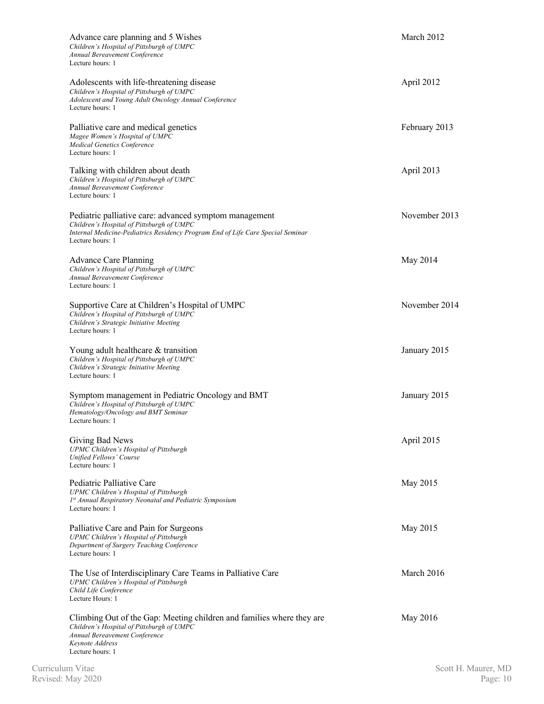| Advance care planning and 5 Wishes<br>Children's Hospital of Pittsburgh of UMPC<br>Annual Bereavement Conference<br>Lecture hours: 1                                                                       | March 2012    |
|------------------------------------------------------------------------------------------------------------------------------------------------------------------------------------------------------------|---------------|
| Adolescents with life-threatening disease<br>Children's Hospital of Pittsburgh of UMPC<br>Adolescent and Young Adult Oncology Annual Conference<br>Lecture hours: 1                                        | April 2012    |
| Palliative care and medical genetics<br>Magee Women's Hospital of UMPC<br><b>Medical Genetics Conference</b><br>Lecture hours: 1                                                                           | February 2013 |
| Talking with children about death<br>Children's Hospital of Pittsburgh of UMPC<br>Annual Bereavement Conference<br>Lecture hours: 1                                                                        | April 2013    |
| Pediatric palliative care: advanced symptom management<br>Children's Hospital of Pittsburgh of UMPC<br>Internal Medicine-Pediatrics Residency Program End of Life Care Special Seminar<br>Lecture hours: 1 | November 2013 |
| <b>Advance Care Planning</b><br>Children's Hospital of Pittsburgh of UMPC<br>Annual Bereavement Conference<br>Lecture hours: 1                                                                             | May 2014      |
| Supportive Care at Children's Hospital of UMPC<br>Children's Hospital of Pittsburgh of UMPC<br>Children's Strategic Initiative Meeting<br>Lecture hours: 1                                                 | November 2014 |
| Young adult healthcare & transition<br>Children's Hospital of Pittsburgh of UMPC<br>Children's Strategic Initiative Meeting<br>Lecture hours: 1                                                            | January 2015  |
| Symptom management in Pediatric Oncology and BMT<br>Children's Hospital of Pittsburgh of UMPC<br>Hematology/Oncology and BMT Seminar<br>Lecture hours: 1                                                   | January 2015  |
| Giving Bad News<br>UPMC Children's Hospital of Pittsburgh<br>Unified Fellows' Course<br>Lecture hours: 1                                                                                                   | April 2015    |
| Pediatric Palliative Care<br>UPMC Children's Hospital of Pittsburgh<br>1st Annual Respiratory Neonatal and Pediatric Symposium<br>Lecture hours: 1                                                         | May 2015      |
| Palliative Care and Pain for Surgeons<br>UPMC Children's Hospital of Pittsburgh<br>Department of Surgery Teaching Conference<br>Lecture hours: 1                                                           | May 2015      |
| The Use of Interdisciplinary Care Teams in Palliative Care<br>UPMC Children's Hospital of Pittsburgh<br>Child Life Conference<br>Lecture Hours: 1                                                          | March 2016    |
| Climbing Out of the Gap: Meeting children and families where they are<br>Children's Hospital of Pittsburgh of UMPC<br>Annual Bereavement Conference<br>Keynote Address<br>Lecture hours: 1                 | May 2016      |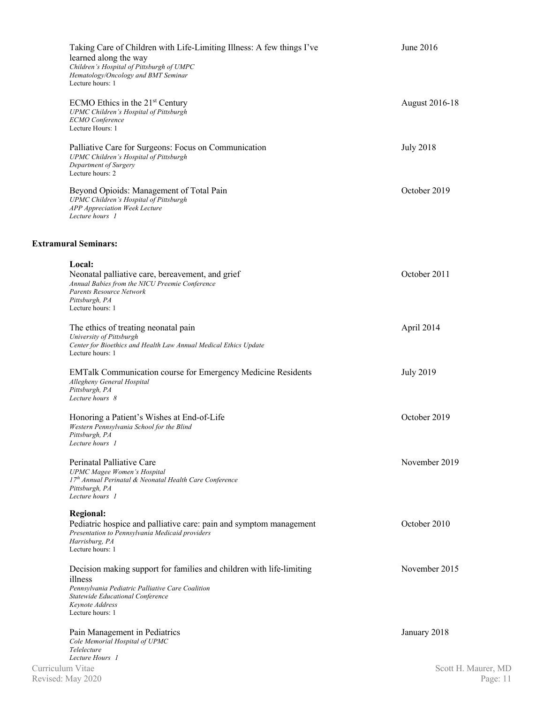| Taking Care of Children with Life-Limiting Illness: A few things I've<br>learned along the way<br>Children's Hospital of Pittsburgh of UMPC<br>Hematology/Oncology and BMT Seminar<br>Lecture hours: 1         | June 2016                         |
|----------------------------------------------------------------------------------------------------------------------------------------------------------------------------------------------------------------|-----------------------------------|
| ECMO Ethics in the $21st$ Century<br>UPMC Children's Hospital of Pittsburgh<br><b>ECMO</b> Conference<br>Lecture Hours: 1                                                                                      | August 2016-18                    |
| Palliative Care for Surgeons: Focus on Communication<br>UPMC Children's Hospital of Pittsburgh<br>Department of Surgery<br>Lecture hours: 2                                                                    | <b>July 2018</b>                  |
| Beyond Opioids: Management of Total Pain<br>UPMC Children's Hospital of Pittsburgh<br>APP Appreciation Week Lecture<br>Lecture hours 1                                                                         | October 2019                      |
| <b>Extramural Seminars:</b>                                                                                                                                                                                    |                                   |
| Local:<br>Neonatal palliative care, bereavement, and grief<br>Annual Babies from the NICU Preemie Conference<br><b>Parents Resource Network</b><br>Pittsburgh, PA<br>Lecture hours: 1                          | October 2011                      |
| The ethics of treating neonatal pain<br>University of Pittsburgh<br>Center for Bioethics and Health Law Annual Medical Ethics Update<br>Lecture hours: 1                                                       | April 2014                        |
| <b>EMTalk Communication course for Emergency Medicine Residents</b><br>Allegheny General Hospital<br>Pittsburgh, PA<br>Lecture hours 8                                                                         | <b>July 2019</b>                  |
| Honoring a Patient's Wishes at End-of-Life<br>Western Pennsylvania School for the Blind<br>Pittsburgh, PA<br>Lecture hours 1                                                                                   | October 2019                      |
| Perinatal Palliative Care<br><b>UPMC</b> Magee Women's Hospital<br>17th Annual Perinatal & Neonatal Health Care Conference<br>Pittsburgh, PA<br>Lecture hours 1                                                | November 2019                     |
| <b>Regional:</b><br>Pediatric hospice and palliative care: pain and symptom management<br>Presentation to Pennsylvania Medicaid providers<br>Harrisburg, PA<br>Lecture hours: 1                                | October 2010                      |
| Decision making support for families and children with life-limiting<br>illness<br>Pennsylvania Pediatric Palliative Care Coalition<br>Statewide Educational Conference<br>Keynote Address<br>Lecture hours: 1 | November 2015                     |
| Pain Management in Pediatrics<br>Cole Memorial Hospital of UPMC<br>Telelecture                                                                                                                                 | January 2018                      |
| Lecture Hours 1<br>Curriculum Vitae<br>Revised: May 2020                                                                                                                                                       | Scott H. Maurer, MD<br>Page: $11$ |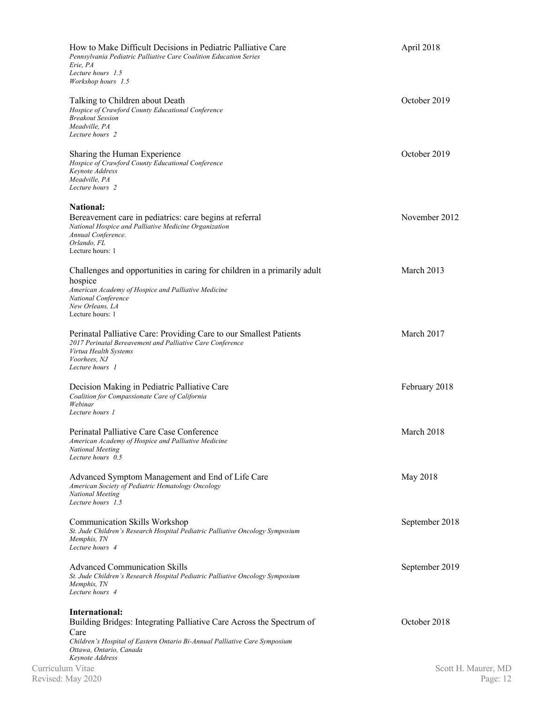| How to Make Difficult Decisions in Pediatric Palliative Care<br>Pennsylvania Pediatric Palliative Care Coalition Education Series<br>Erie, PA                                                            | April 2018          |
|----------------------------------------------------------------------------------------------------------------------------------------------------------------------------------------------------------|---------------------|
| Lecture hours 1.5<br>Workshop hours 1.5                                                                                                                                                                  |                     |
| Talking to Children about Death<br>Hospice of Crawford County Educational Conference<br><b>Breakout Session</b><br>Meadville, PA<br>Lecture hours 2                                                      | October 2019        |
| Sharing the Human Experience<br>Hospice of Crawford County Educational Conference<br>Keynote Address<br>Meadville, PA<br>Lecture hours 2                                                                 | October 2019        |
| <b>National:</b><br>Bereavement care in pediatrics: care begins at referral<br>National Hospice and Palliative Medicine Organization<br>Annual Conference.<br>Orlando, FL<br>Lecture hours: 1            | November 2012       |
| Challenges and opportunities in caring for children in a primarily adult<br>hospice<br>American Academy of Hospice and Palliative Medicine<br>National Conference<br>New Orleans, LA<br>Lecture hours: 1 | March 2013          |
| Perinatal Palliative Care: Providing Care to our Smallest Patients<br>2017 Perinatal Bereavement and Palliative Care Conference<br>Virtua Health Systems<br>Voorhees, NJ<br>Lecture hours 1              | March 2017          |
| Decision Making in Pediatric Palliative Care<br>Coalition for Compassionate Care of California<br>Webinar<br>Lecture hours 1                                                                             | February 2018       |
| Perinatal Palliative Care Case Conference<br>American Academy of Hospice and Palliative Medicine<br><b>National Meeting</b><br>Lecture hours 0.5                                                         | March 2018          |
| Advanced Symptom Management and End of Life Care<br>American Society of Pediatric Hematology Oncology<br><b>National Meeting</b><br>Lecture hours 1.5                                                    | May 2018            |
| <b>Communication Skills Workshop</b><br>St. Jude Children's Research Hospital Pediatric Palliative Oncology Symposium<br>Memphis, TN<br>Lecture hours 4                                                  | September 2018      |
| <b>Advanced Communication Skills</b><br>St. Jude Children's Research Hospital Pediatric Palliative Oncology Symposium<br>Memphis, TN<br>Lecture hours 4                                                  | September 2019      |
| International:<br>Building Bridges: Integrating Palliative Care Across the Spectrum of<br>Care<br>Children's Hospital of Eastern Ontario Bi-Annual Palliative Care Symposium<br>Ottawa, Ontario, Canada  | October 2018        |
| Keynote Address<br>Curriculum Vitae                                                                                                                                                                      | Scott H. Maurer, MD |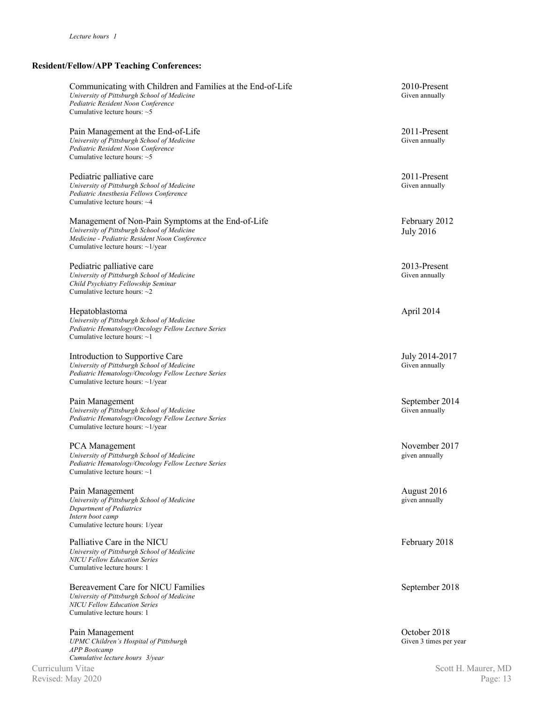# **Resident/Fellow/APP Teaching Conferences:**

| Communicating with Children and Families at the End-of-Life<br>University of Pittsburgh School of Medicine<br>Pediatric Resident Noon Conference<br>Cumulative lecture hours: $\sim$ 5  | 2010-Present<br>Given annually         |
|-----------------------------------------------------------------------------------------------------------------------------------------------------------------------------------------|----------------------------------------|
| Pain Management at the End-of-Life<br>University of Pittsburgh School of Medicine<br>Pediatric Resident Noon Conference<br>Cumulative lecture hours: $\sim$ 5                           | 2011-Present<br>Given annually         |
| Pediatric palliative care<br>University of Pittsburgh School of Medicine<br>Pediatric Anesthesia Fellows Conference<br>Cumulative lecture hours: ~4                                     | 2011-Present<br>Given annually         |
| Management of Non-Pain Symptoms at the End-of-Life<br>University of Pittsburgh School of Medicine<br>Medicine - Pediatric Resident Noon Conference<br>Cumulative lecture hours: ~1/year | February 2012<br><b>July 2016</b>      |
| Pediatric palliative care<br>University of Pittsburgh School of Medicine<br>Child Psychiatry Fellowship Seminar<br>Cumulative lecture hours: ~2                                         | 2013-Present<br>Given annually         |
| Hepatoblastoma<br>University of Pittsburgh School of Medicine<br>Pediatric Hematology/Oncology Fellow Lecture Series<br>Cumulative lecture hours: $\sim$ 1                              | April 2014                             |
| Introduction to Supportive Care<br>University of Pittsburgh School of Medicine<br>Pediatric Hematology/Oncology Fellow Lecture Series<br>Cumulative lecture hours: ~1/year              | July 2014-2017<br>Given annually       |
| Pain Management<br>University of Pittsburgh School of Medicine<br>Pediatric Hematology/Oncology Fellow Lecture Series<br>Cumulative lecture hours: ~1/year                              | September 2014<br>Given annually       |
| PCA Management<br>University of Pittsburgh School of Medicine<br>Pediatric Hematology/Oncology Fellow Lecture Series<br>Cumulative lecture hours: $\sim$ 1                              | November 2017<br>given annually        |
| Pain Management<br>University of Pittsburgh School of Medicine<br>Department of Pediatrics<br>Intern boot camp<br>Cumulative lecture hours: 1/year                                      | August 2016<br>given annually          |
| Palliative Care in the NICU<br>University of Pittsburgh School of Medicine<br><b>NICU Fellow Education Series</b><br>Cumulative lecture hours: 1                                        | February 2018                          |
| Bereavement Care for NICU Families<br>University of Pittsburgh School of Medicine<br><b>NICU Fellow Education Series</b><br>Cumulative lecture hours: 1                                 | September 2018                         |
| Pain Management<br>UPMC Children's Hospital of Pittsburgh<br><b>APP</b> Bootcamp<br>Cumulative lecture hours 3/year                                                                     | October 2018<br>Given 3 times per year |
| Curriculum Vitae                                                                                                                                                                        | Scott H. Maurer, MD                    |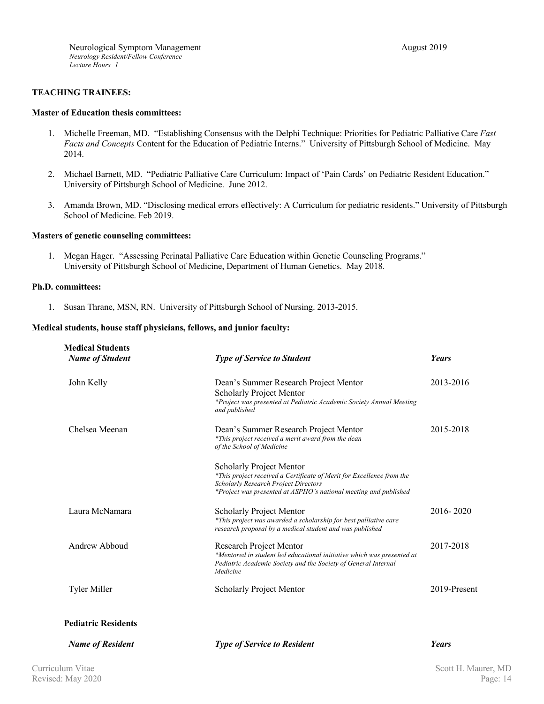### **TEACHING TRAINEES:**

#### **Master of Education thesis committees:**

- 1. Michelle Freeman, MD. "Establishing Consensus with the Delphi Technique: Priorities for Pediatric Palliative Care *Fast Facts and Concepts* Content for the Education of Pediatric Interns." University of Pittsburgh School of Medicine. May 2014.
- 2. Michael Barnett, MD. "Pediatric Palliative Care Curriculum: Impact of 'Pain Cards' on Pediatric Resident Education." University of Pittsburgh School of Medicine. June 2012.
- 3. Amanda Brown, MD. "Disclosing medical errors effectively: A Curriculum for pediatric residents." University of Pittsburgh School of Medicine. Feb 2019.

### **Masters of genetic counseling committees:**

1. Megan Hager. "Assessing Perinatal Palliative Care Education within Genetic Counseling Programs." University of Pittsburgh School of Medicine, Department of Human Genetics. May 2018.

### **Ph.D. committees:**

1. Susan Thrane, MSN, RN. University of Pittsburgh School of Nursing. 2013-2015.

### **Medical students, house staff physicians, fellows, and junior faculty:**

| <b>Medical Students</b><br><b>Name of Student</b> | <b>Type of Service to Student</b>                                                                                                                                                                             | Years        |
|---------------------------------------------------|---------------------------------------------------------------------------------------------------------------------------------------------------------------------------------------------------------------|--------------|
| John Kelly                                        | Dean's Summer Research Project Mentor<br><b>Scholarly Project Mentor</b><br>*Project was presented at Pediatric Academic Society Annual Meeting<br>and published                                              | 2013-2016    |
| Chelsea Meenan                                    | Dean's Summer Research Project Mentor<br>*This project received a merit award from the dean<br>of the School of Medicine                                                                                      | 2015-2018    |
|                                                   | Scholarly Project Mentor<br>*This project received a Certificate of Merit for Excellence from the<br>Scholarly Research Project Directors<br>*Project was presented at ASPHO's national meeting and published |              |
| Laura McNamara                                    | <b>Scholarly Project Mentor</b><br>*This project was awarded a scholarship for best palliative care<br>research proposal by a medical student and was published                                               | 2016-2020    |
| Andrew Abboud                                     | Research Project Mentor<br>*Mentored in student led educational initiative which was presented at<br>Pediatric Academic Society and the Society of General Internal<br>Medicine                               | 2017-2018    |
| Tyler Miller                                      | Scholarly Project Mentor                                                                                                                                                                                      | 2019-Present |
| <b>Pediatric Residents</b>                        |                                                                                                                                                                                                               |              |
| <b>Name of Resident</b>                           | <b>Type of Service to Resident</b>                                                                                                                                                                            | <b>Years</b> |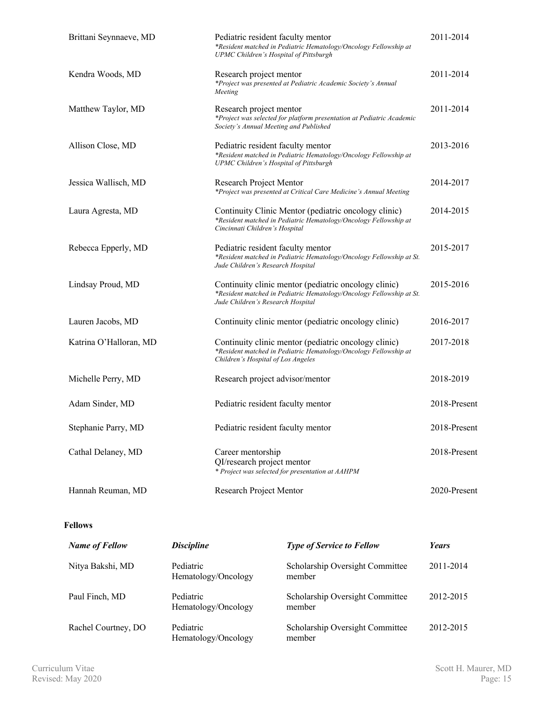| Brittani Seynnaeve, MD | Pediatric resident faculty mentor<br>*Resident matched in Pediatric Hematology/Oncology Fellowship at<br>UPMC Children's Hospital of Pittsburgh                   | 2011-2014    |
|------------------------|-------------------------------------------------------------------------------------------------------------------------------------------------------------------|--------------|
| Kendra Woods, MD       | Research project mentor<br>*Project was presented at Pediatric Academic Society's Annual<br>Meeting                                                               | 2011-2014    |
| Matthew Taylor, MD     | Research project mentor<br>*Project was selected for platform presentation at Pediatric Academic<br>Society's Annual Meeting and Published                        | 2011-2014    |
| Allison Close, MD      | Pediatric resident faculty mentor<br>*Resident matched in Pediatric Hematology/Oncology Fellowship at<br>UPMC Children's Hospital of Pittsburgh                   | 2013-2016    |
| Jessica Wallisch, MD   | Research Project Mentor<br>*Project was presented at Critical Care Medicine's Annual Meeting                                                                      | 2014-2017    |
| Laura Agresta, MD      | Continuity Clinic Mentor (pediatric oncology clinic)<br>*Resident matched in Pediatric Hematology/Oncology Fellowship at<br>Cincinnati Children's Hospital        | 2014-2015    |
| Rebecca Epperly, MD    | Pediatric resident faculty mentor<br>*Resident matched in Pediatric Hematology/Oncology Fellowship at St.<br>Jude Children's Research Hospital                    | 2015-2017    |
| Lindsay Proud, MD      | Continuity clinic mentor (pediatric oncology clinic)<br>*Resident matched in Pediatric Hematology/Oncology Fellowship at St.<br>Jude Children's Research Hospital | 2015-2016    |
| Lauren Jacobs, MD      | Continuity clinic mentor (pediatric oncology clinic)                                                                                                              | 2016-2017    |
| Katrina O'Halloran, MD | Continuity clinic mentor (pediatric oncology clinic)<br>*Resident matched in Pediatric Hematology/Oncology Fellowship at<br>Children's Hospital of Los Angeles    | 2017-2018    |
| Michelle Perry, MD     | Research project advisor/mentor                                                                                                                                   | 2018-2019    |
| Adam Sinder, MD        | Pediatric resident faculty mentor                                                                                                                                 | 2018-Present |
| Stephanie Parry, MD    | Pediatric resident faculty mentor                                                                                                                                 | 2018-Present |
| Cathal Delaney, MD     | Career mentorship<br>QI/research project mentor<br>* Project was selected for presentation at AAHPM                                                               | 2018-Present |
| Hannah Reuman, MD      | Research Project Mentor                                                                                                                                           | 2020-Present |

# **Fellows**

| <b>Name of Fellow</b> | <b>Discipline</b>                | <b>Type of Service to Fellow</b>          | <b>Years</b> |
|-----------------------|----------------------------------|-------------------------------------------|--------------|
| Nitya Bakshi, MD      | Pediatric<br>Hematology/Oncology | Scholarship Oversight Committee<br>member | 2011-2014    |
| Paul Finch, MD        | Pediatric<br>Hematology/Oncology | Scholarship Oversight Committee<br>member | 2012-2015    |
| Rachel Courtney, DO   | Pediatric<br>Hematology/Oncology | Scholarship Oversight Committee<br>member | 2012-2015    |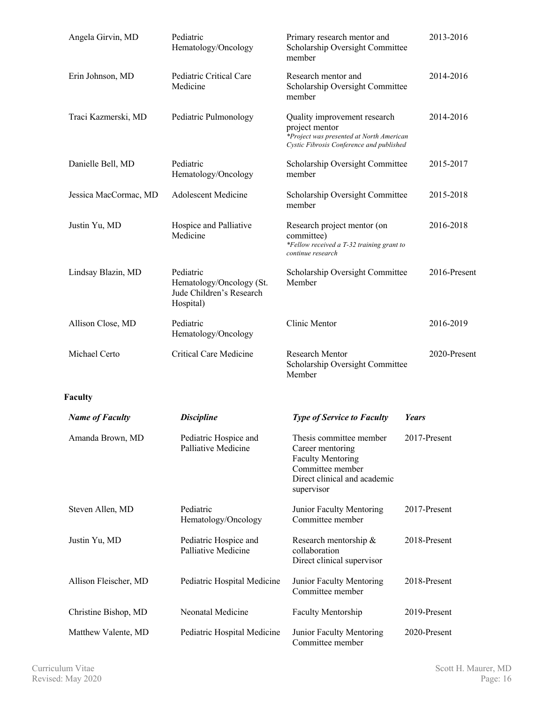| Angela Girvin, MD      | Pediatric<br>Hematology/Oncology                                               | Primary research mentor and<br>Scholarship Oversight Committee<br>member                                                                  | 2013-2016    |
|------------------------|--------------------------------------------------------------------------------|-------------------------------------------------------------------------------------------------------------------------------------------|--------------|
| Erin Johnson, MD       | Pediatric Critical Care<br>Medicine                                            | Research mentor and<br>Scholarship Oversight Committee<br>member                                                                          | 2014-2016    |
| Traci Kazmerski, MD    | Pediatric Pulmonology                                                          | Quality improvement research<br>project mentor<br>*Project was presented at North American<br>Cystic Fibrosis Conference and published    | 2014-2016    |
| Danielle Bell, MD      | Pediatric<br>Hematology/Oncology                                               | Scholarship Oversight Committee<br>member                                                                                                 | 2015-2017    |
| Jessica MacCormac, MD  | <b>Adolescent Medicine</b>                                                     | Scholarship Oversight Committee<br>member                                                                                                 | 2015-2018    |
| Justin Yu, MD          | Hospice and Palliative<br>Medicine                                             | Research project mentor (on<br>committee)<br>*Fellow received a T-32 training grant to<br>continue research                               | 2016-2018    |
| Lindsay Blazin, MD     | Pediatric<br>Hematology/Oncology (St.<br>Jude Children's Research<br>Hospital) | Scholarship Oversight Committee<br>Member                                                                                                 | 2016-Present |
| Allison Close, MD      | Pediatric<br>Hematology/Oncology                                               | Clinic Mentor                                                                                                                             | 2016-2019    |
| Michael Certo          | <b>Critical Care Medicine</b>                                                  | Research Mentor<br>Scholarship Oversight Committee<br>Member                                                                              | 2020-Present |
| Faculty                |                                                                                |                                                                                                                                           |              |
| <b>Name of Faculty</b> | <b>Discipline</b>                                                              | <b>Type of Service to Faculty</b>                                                                                                         | Years        |
| Amanda Brown, MD       | Pediatric Hospice and<br>Palliative Medicine                                   | Thesis committee member<br>Career mentoring<br><b>Faculty Mentoring</b><br>Committee member<br>Direct clinical and academic<br>supervisor | 2017-Present |
| Steven Allen, MD       | Pediatric<br>Hematology/Oncology                                               | Junior Faculty Mentoring<br>Committee member                                                                                              | 2017-Present |
| Justin Yu, MD          | Pediatric Hospice and<br>Palliative Medicine                                   | Research mentorship &<br>collaboration<br>Direct clinical supervisor                                                                      | 2018-Present |
| Allison Fleischer, MD  | Pediatric Hospital Medicine                                                    | Junior Faculty Mentoring<br>Committee member                                                                                              | 2018-Present |
| Christine Bishop, MD   | Neonatal Medicine                                                              | Faculty Mentorship                                                                                                                        | 2019-Present |
| Matthew Valente, MD    | Pediatric Hospital Medicine                                                    | Junior Faculty Mentoring<br>Committee member                                                                                              | 2020-Present |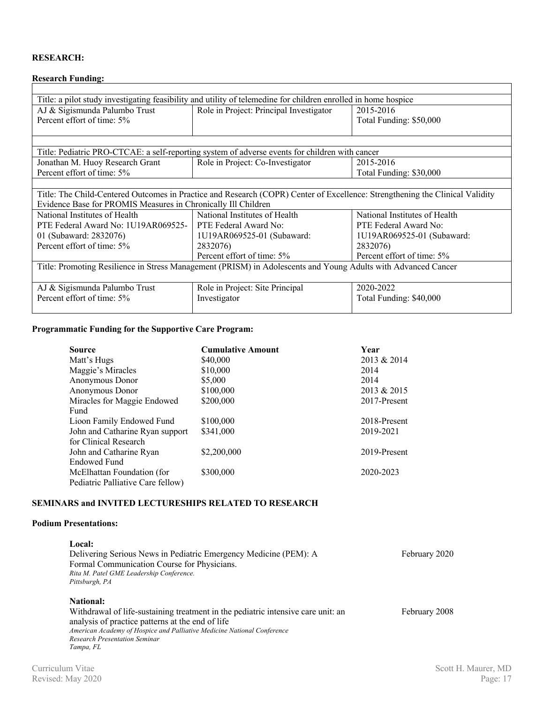# **RESEARCH:**

# **Research Funding:**

| Title: a pilot study investigating feasibility and utility of telemedine for children enrolled in home hospice |                                                                                                                              |                               |  |  |
|----------------------------------------------------------------------------------------------------------------|------------------------------------------------------------------------------------------------------------------------------|-------------------------------|--|--|
| AJ & Sigismunda Palumbo Trust                                                                                  | Role in Project: Principal Investigator                                                                                      | 2015-2016                     |  |  |
| Percent effort of time: 5%                                                                                     |                                                                                                                              | Total Funding: \$50,000       |  |  |
|                                                                                                                |                                                                                                                              |                               |  |  |
|                                                                                                                |                                                                                                                              |                               |  |  |
|                                                                                                                | Title: Pediatric PRO-CTCAE: a self-reporting system of adverse events for children with cancer                               |                               |  |  |
| Jonathan M. Huoy Research Grant                                                                                | Role in Project: Co-Investigator                                                                                             | 2015-2016                     |  |  |
| Percent effort of time: 5%                                                                                     |                                                                                                                              | Total Funding: \$30,000       |  |  |
|                                                                                                                |                                                                                                                              |                               |  |  |
|                                                                                                                | Title: The Child-Centered Outcomes in Practice and Research (COPR) Center of Excellence: Strengthening the Clinical Validity |                               |  |  |
| Evidence Base for PROMIS Measures in Chronically Ill Children                                                  |                                                                                                                              |                               |  |  |
| National Institutes of Health                                                                                  | National Institutes of Health                                                                                                | National Institutes of Health |  |  |
| PTE Federal Award No: 1U19AR069525-                                                                            | PTE Federal Award No:                                                                                                        | PTE Federal Award No:         |  |  |
| 01 (Subaward: 2832076)                                                                                         | 1U19AR069525-01 (Subaward:                                                                                                   | 1U19AR069525-01 (Subaward:    |  |  |
| Percent effort of time: 5%                                                                                     | 2832076)                                                                                                                     | 2832076)                      |  |  |
|                                                                                                                | Percent effort of time: 5%                                                                                                   | Percent effort of time: 5%    |  |  |
| Title: Promoting Resilience in Stress Management (PRISM) in Adolescents and Young Adults with Advanced Cancer  |                                                                                                                              |                               |  |  |
|                                                                                                                |                                                                                                                              |                               |  |  |
| AJ & Sigismunda Palumbo Trust                                                                                  | Role in Project: Site Principal                                                                                              | 2020-2022                     |  |  |
| Percent effort of time: 5%                                                                                     | Investigator                                                                                                                 | Total Funding: \$40,000       |  |  |
|                                                                                                                |                                                                                                                              |                               |  |  |

### **Programmatic Funding for the Supportive Care Program:**

| <b>Source</b>                     | <b>Cumulative Amount</b> | Year         |
|-----------------------------------|--------------------------|--------------|
| Matt's Hugs                       | \$40,000                 | 2013 & 2014  |
| Maggie's Miracles                 | \$10,000                 | 2014         |
| Anonymous Donor                   | \$5,000                  | 2014         |
| Anonymous Donor                   | \$100,000                | 2013 & 2015  |
| Miracles for Maggie Endowed       | \$200,000                | 2017-Present |
| Fund                              |                          |              |
| Lioon Family Endowed Fund         | \$100,000                | 2018-Present |
| John and Catharine Ryan support   | \$341,000                | 2019-2021    |
| for Clinical Research             |                          |              |
| John and Catharine Ryan           | \$2,200,000              | 2019-Present |
| <b>Endowed Fund</b>               |                          |              |
| McElhattan Foundation (for        | \$300,000                | 2020-2023    |
| Pediatric Palliative Care fellow) |                          |              |

### **SEMINARS and INVITED LECTURESHIPS RELATED TO RESEARCH**

### **Podium Presentations:**

| Local:<br>Delivering Serious News in Pediatric Emergency Medicine (PEM): A<br>Formal Communication Course for Physicians.<br>Rita M. Patel GME Leadership Conference.<br>Pittsburgh, PA                                                                                     | February 2020 |
|-----------------------------------------------------------------------------------------------------------------------------------------------------------------------------------------------------------------------------------------------------------------------------|---------------|
| <b>National:</b><br>Withdrawal of life-sustaining treatment in the pediatric intensive care unit: an<br>analysis of practice patterns at the end of life<br>American Academy of Hospice and Palliative Medicine National Conference<br><b>Research Presentation Seminar</b> | February 2008 |
| Tampa, FL                                                                                                                                                                                                                                                                   |               |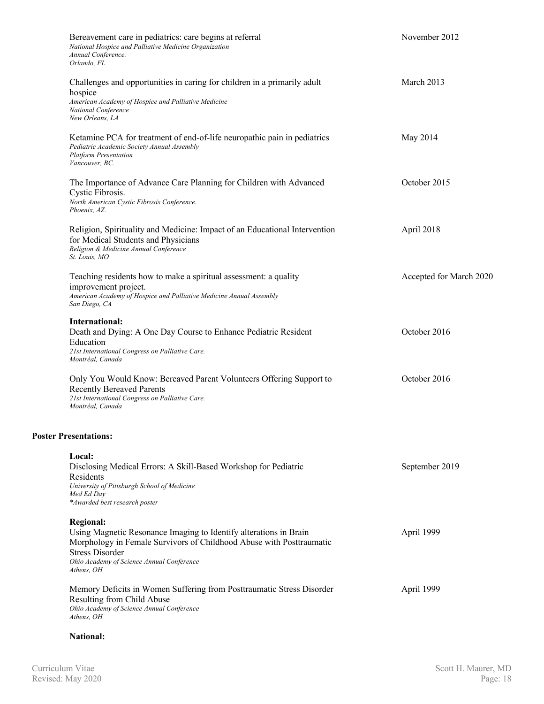| Bereavement care in pediatrics: care begins at referral<br>National Hospice and Palliative Medicine Organization<br>Annual Conference.<br>Orlando, FL                                                                                              | November 2012           |
|----------------------------------------------------------------------------------------------------------------------------------------------------------------------------------------------------------------------------------------------------|-------------------------|
| Challenges and opportunities in caring for children in a primarily adult<br>hospice<br>American Academy of Hospice and Palliative Medicine<br>National Conference<br>New Orleans, LA                                                               | March 2013              |
| Ketamine PCA for treatment of end-of-life neuropathic pain in pediatrics<br>Pediatric Academic Society Annual Assembly<br><b>Platform Presentation</b><br>Vancouver, BC.                                                                           | May 2014                |
| The Importance of Advance Care Planning for Children with Advanced<br>Cystic Fibrosis.<br>North American Cystic Fibrosis Conference.<br>Phoenix, AZ.                                                                                               | October 2015            |
| Religion, Spirituality and Medicine: Impact of an Educational Intervention<br>for Medical Students and Physicians<br>Religion & Medicine Annual Conference<br>St. Louis, MO                                                                        | April 2018              |
| Teaching residents how to make a spiritual assessment: a quality<br>improvement project.<br>American Academy of Hospice and Palliative Medicine Annual Assembly<br>San Diego, CA                                                                   | Accepted for March 2020 |
| International:<br>Death and Dying: A One Day Course to Enhance Pediatric Resident<br>Education<br>21st International Congress on Palliative Care.<br>Montréal, Canada                                                                              | October 2016            |
| Only You Would Know: Bereaved Parent Volunteers Offering Support to<br><b>Recently Bereaved Parents</b><br>21st International Congress on Palliative Care.<br>Montréal, Canada                                                                     | October 2016            |
| <b>Poster Presentations:</b>                                                                                                                                                                                                                       |                         |
| Local:<br>Disclosing Medical Errors: A Skill-Based Workshop for Pediatric<br>Residents<br>University of Pittsburgh School of Medicine<br>Med Ed Day<br>*Awarded best research poster                                                               | September 2019          |
| <b>Regional:</b><br>Using Magnetic Resonance Imaging to Identify alterations in Brain<br>Morphology in Female Survivors of Childhood Abuse with Posttraumatic<br><b>Stress Disorder</b><br>Ohio Academy of Science Annual Conference<br>Athens, OH | April 1999              |
| Memory Deficits in Women Suffering from Posttraumatic Stress Disorder<br>Resulting from Child Abuse<br>Ohio Academy of Science Annual Conference<br>Athens, OH                                                                                     | April 1999              |

### **National:**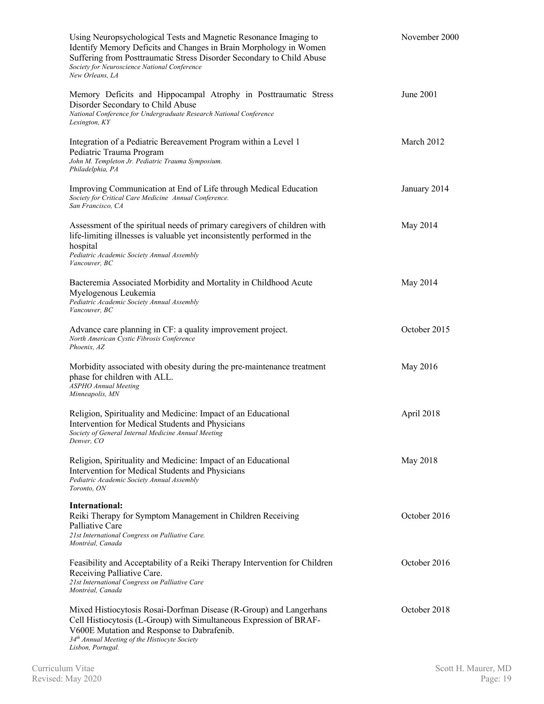| Using Neuropsychological Tests and Magnetic Resonance Imaging to<br>Identify Memory Deficits and Changes in Brain Morphology in Women<br>Suffering from Posttraumatic Stress Disorder Secondary to Child Abuse<br>Society for Neuroscience National Conference<br>New Orleans, LA | November 2000 |
|-----------------------------------------------------------------------------------------------------------------------------------------------------------------------------------------------------------------------------------------------------------------------------------|---------------|
| Memory Deficits and Hippocampal Atrophy in Posttraumatic Stress<br>Disorder Secondary to Child Abuse<br>National Conference for Undergraduate Research National Conference<br>Lexington, KY                                                                                       | June 2001     |
| Integration of a Pediatric Bereavement Program within a Level 1<br>Pediatric Trauma Program<br>John M. Templeton Jr. Pediatric Trauma Symposium.<br>Philadelphia, PA                                                                                                              | March 2012    |
| Improving Communication at End of Life through Medical Education<br>Society for Critical Care Medicine Annual Conference.<br>San Francisco. CA                                                                                                                                    | January 2014  |
| Assessment of the spiritual needs of primary caregivers of children with<br>life-limiting illnesses is valuable yet inconsistently performed in the<br>hospital<br>Pediatric Academic Society Annual Assembly<br>Vancouver, BC                                                    | May 2014      |
| Bacteremia Associated Morbidity and Mortality in Childhood Acute<br>Myelogenous Leukemia<br>Pediatric Academic Society Annual Assembly<br>Vancouver, BC                                                                                                                           | May 2014      |
| Advance care planning in CF: a quality improvement project.<br>North American Cystic Fibrosis Conference<br>Phoenix, AZ                                                                                                                                                           | October 2015  |
| Morbidity associated with obesity during the pre-maintenance treatment<br>phase for children with ALL.<br><b>ASPHO</b> Annual Meeting<br>Minneapolis, MN                                                                                                                          | May 2016      |
| Religion, Spirituality and Medicine: Impact of an Educational<br>Intervention for Medical Students and Physicians<br>Society of General Internal Medicine Annual Meeting<br>Denver. CO                                                                                            | April 2018    |
| Religion, Spirituality and Medicine: Impact of an Educational<br>Intervention for Medical Students and Physicians<br>Pediatric Academic Society Annual Assembly<br>Toronto, ON                                                                                                    | May 2018      |
| International:<br>Reiki Therapy for Symptom Management in Children Receiving<br>Palliative Care<br>21st International Congress on Palliative Care.<br>Montréal, Canada                                                                                                            | October 2016  |
| Feasibility and Acceptability of a Reiki Therapy Intervention for Children<br>Receiving Palliative Care.<br>21st International Congress on Palliative Care<br>Montréal. Canada                                                                                                    | October 2016  |
| Mixed Histiocytosis Rosai-Dorfman Disease (R-Group) and Langerhans<br>Cell Histiocytosis (L-Group) with Simultaneous Expression of BRAF-<br>V600E Mutation and Response to Dabrafenib.<br>34 <sup>th</sup> Annual Meeting of the Histiocyte Society<br>Lisbon, Portugal.          | October 2018  |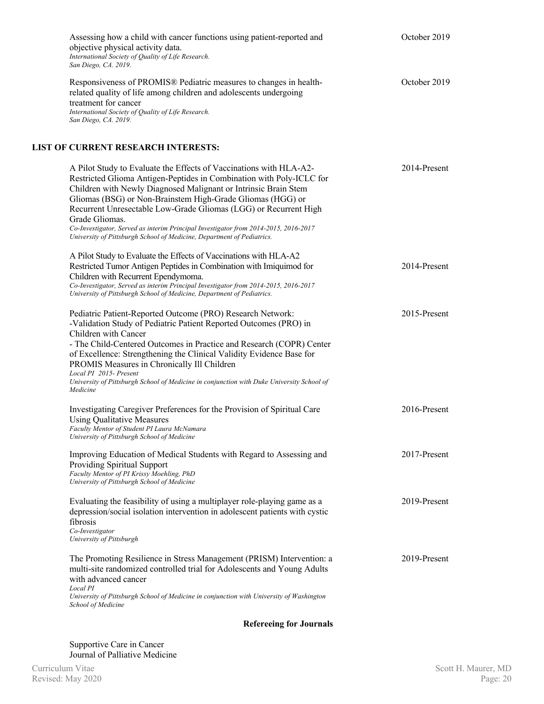| Assessing how a child with cancer functions using patient-reported and<br>objective physical activity data.<br>International Society of Quality of Life Research.<br>San Diego, CA. 2019.                                                                                                                                                                                                                                                                                                                                          | October 2019 |
|------------------------------------------------------------------------------------------------------------------------------------------------------------------------------------------------------------------------------------------------------------------------------------------------------------------------------------------------------------------------------------------------------------------------------------------------------------------------------------------------------------------------------------|--------------|
| Responsiveness of PROMIS® Pediatric measures to changes in health-<br>related quality of life among children and adolescents undergoing<br>treatment for cancer<br>International Society of Quality of Life Research.<br>San Diego, CA. 2019.                                                                                                                                                                                                                                                                                      | October 2019 |
| <b>LIST OF CURRENT RESEARCH INTERESTS:</b>                                                                                                                                                                                                                                                                                                                                                                                                                                                                                         |              |
| A Pilot Study to Evaluate the Effects of Vaccinations with HLA-A2-<br>Restricted Glioma Antigen-Peptides in Combination with Poly-ICLC for<br>Children with Newly Diagnosed Malignant or Intrinsic Brain Stem<br>Gliomas (BSG) or Non-Brainstem High-Grade Gliomas (HGG) or<br>Recurrent Unresectable Low-Grade Gliomas (LGG) or Recurrent High<br>Grade Gliomas.<br>Co-Investigator, Served as interim Principal Investigator from 2014-2015, 2016-2017<br>University of Pittsburgh School of Medicine, Department of Pediatrics. | 2014-Present |
| A Pilot Study to Evaluate the Effects of Vaccinations with HLA-A2<br>Restricted Tumor Antigen Peptides in Combination with Imiquimod for<br>Children with Recurrent Ependymoma.<br>Co-Investigator, Served as interim Principal Investigator from 2014-2015, 2016-2017<br>University of Pittsburgh School of Medicine, Department of Pediatrics.                                                                                                                                                                                   | 2014-Present |
| Pediatric Patient-Reported Outcome (PRO) Research Network:<br>-Validation Study of Pediatric Patient Reported Outcomes (PRO) in<br>Children with Cancer<br>- The Child-Centered Outcomes in Practice and Research (COPR) Center<br>of Excellence: Strengthening the Clinical Validity Evidence Base for<br>PROMIS Measures in Chronically Ill Children<br>Local PI 2015- Present<br>University of Pittsburgh School of Medicine in conjunction with Duke University School of<br>Medicine                                          | 2015-Present |
| Investigating Caregiver Preferences for the Provision of Spiritual Care<br><b>Using Qualitative Measures</b><br>Faculty Mentor of Student PI Laura McNamara<br>University of Pittsburgh School of Medicine                                                                                                                                                                                                                                                                                                                         | 2016-Present |
| Improving Education of Medical Students with Regard to Assessing and<br><b>Providing Spiritual Support</b><br>Faculty Mentor of PI Krissy Moehling, PhD<br>University of Pittsburgh School of Medicine                                                                                                                                                                                                                                                                                                                             | 2017-Present |
| Evaluating the feasibility of using a multiplayer role-playing game as a<br>depression/social isolation intervention in adolescent patients with cystic<br>fibrosis<br>Co-Investigator<br>University of Pittsburgh                                                                                                                                                                                                                                                                                                                 | 2019-Present |
| The Promoting Resilience in Stress Management (PRISM) Intervention: a<br>multi-site randomized controlled trial for Adolescents and Young Adults<br>with advanced cancer<br>Local PI<br>University of Pittsburgh School of Medicine in conjunction with University of Washington<br>School of Medicine                                                                                                                                                                                                                             | 2019-Present |

**Refereeing for Journals**

Supportive Care in Cancer Journal of Palliative Medicine